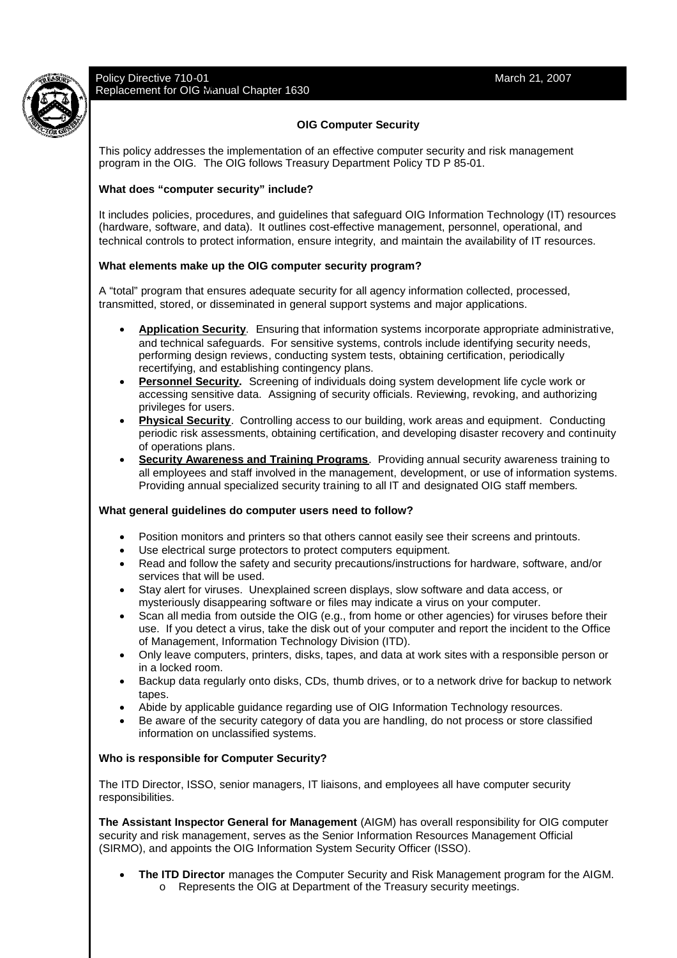

# **OIG Computer Security**

This policy addresses the implementation of an effective computer security and risk management program in the OIG. The OIG follows Treasury Department Policy TD P 85-01.

# **What does "computer security" include?**

It includes policies, procedures, and guidelines that safeguard OIG Information Technology (IT) resources (hardware, software, and data). It outlines cost-effective management, personnel, operational, and technical controls to protect information, ensure integrity, and maintain the availability of IT resources.

## **What elements make up the OIG computer security program?**

A "total" program that ensures adequate security for all agency information collected, processed, transmitted, stored, or disseminated in general support systems and major applications.

- **Application Security**. Ensuring that information systems incorporate appropriate administrative, and technical safeguards. For sensitive systems, controls include identifying security needs, performing design reviews, conducting system tests, obtaining certification, periodically recertifying, and establishing contingency plans.
- **Personnel Security.** Screening of individuals doing system development life cycle work or accessing sensitive data. Assigning of security officials. Reviewing, revoking, and authorizing privileges for users.
- **Physical Security**. Controlling access to our building, work areas and equipment. Conducting periodic risk assessments, obtaining certification, and developing disaster recovery and continuity of operations plans.
- **Security Awareness and Training Programs**. Providing annual security awareness training to all employees and staff involved in the management, development, or use of information systems. Providing annual specialized security training to all IT and designated OIG staff members.

#### **What general guidelines do computer users need to follow?**

- Position monitors and printers so that others cannot easily see their screens and printouts.
- Use electrical surge protectors to protect computers equipment.
- Read and follow the safety and security precautions/instructions for hardware, software, and/or services that will be used.
- Stay alert for viruses. Unexplained screen displays, slow software and data access, or mysteriously disappearing software or files may indicate a virus on your computer.
- Scan all media from outside the OIG (e.g., from home or other agencies) for viruses before their use. If you detect a virus, take the disk out of your computer and report the incident to the Office of Management, Information Technology Division (ITD).
- Only leave computers, printers, disks, tapes, and data at work sites with a responsible person or in a locked room.
- Backup data regularly onto disks, CDs, thumb drives, or to a network drive for backup to network tapes.
- Abide by applicable guidance regarding use of OIG Information Technology resources.
- Be aware of the security category of data you are handling, do not process or store classified information on unclassified systems.

#### **Who is responsible for Computer Security?**

The ITD Director, ISSO, senior managers, IT liaisons, and employees all have computer security responsibilities.

**The Assistant Inspector General for Management** (AIGM) has overall responsibility for OIG computer security and risk management, serves as the Senior Information Resources Management Official (SIRMO), and appoints the OIG Information System Security Officer (ISSO).

- **The ITD Director** manages the Computer Security and Risk Management program for the AIGM.
	- o Represents the OIG at Department of the Treasury security meetings.